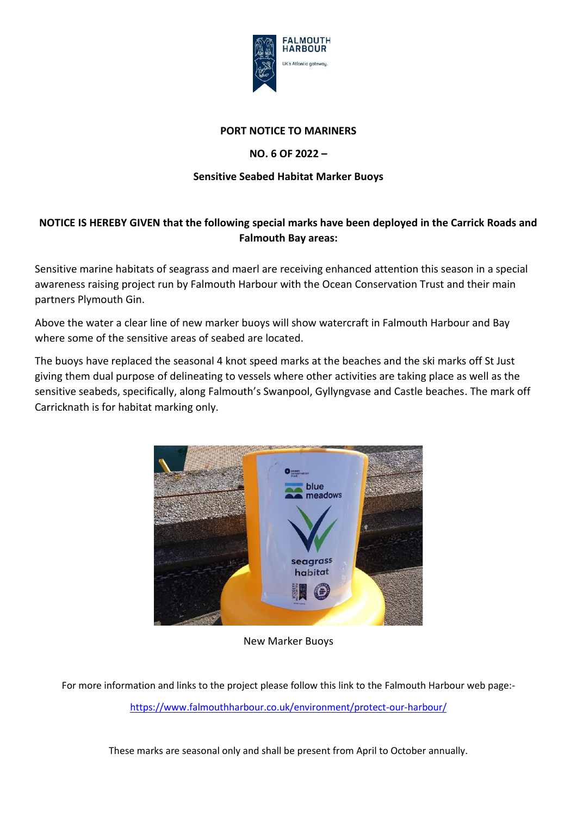

## **PORT NOTICE TO MARINERS**

## **NO. 6 OF 2022 –**

## **Sensitive Seabed Habitat Marker Buoys**

## **NOTICE IS HEREBY GIVEN that the following special marks have been deployed in the Carrick Roads and Falmouth Bay areas:**

Sensitive marine habitats of seagrass and maerl are receiving enhanced attention this season in a special awareness raising project run by Falmouth Harbour with the Ocean Conservation Trust and their main partners Plymouth Gin.

Above the water a clear line of new marker buoys will show watercraft in Falmouth Harbour and Bay where some of the sensitive areas of seabed are located.

The buoys have replaced the seasonal 4 knot speed marks at the beaches and the ski marks off St Just giving them dual purpose of delineating to vessels where other activities are taking place as well as the sensitive seabeds, specifically, along Falmouth's Swanpool, Gyllyngvase and Castle beaches. The mark off Carricknath is for habitat marking only.



New Marker Buoys

For more information and links to the project please follow this link to the Falmouth Harbour web page: <https://www.falmouthharbour.co.uk/environment/protect-our-harbour/>

These marks are seasonal only and shall be present from April to October annually.